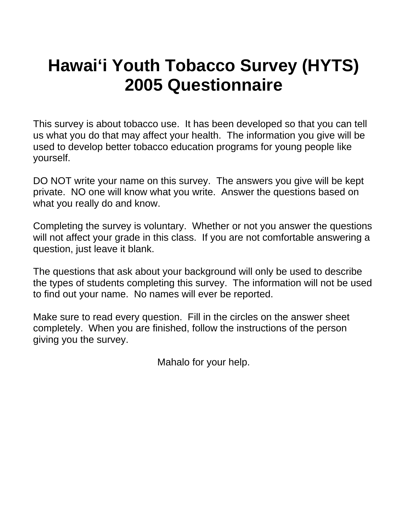# **Hawai'i Youth Tobacco Survey (HYTS) 2005 Questionnaire**

This survey is about tobacco use. It has been developed so that you can tell us what you do that may affect your health. The information you give will be used to develop better tobacco education programs for young people like yourself.

DO NOT write your name on this survey. The answers you give will be kept private. NO one will know what you write. Answer the questions based on what you really do and know.

Completing the survey is voluntary. Whether or not you answer the questions will not affect your grade in this class. If you are not comfortable answering a question, just leave it blank.

The questions that ask about your background will only be used to describe the types of students completing this survey. The information will not be used to find out your name. No names will ever be reported.

Make sure to read every question. Fill in the circles on the answer sheet completely. When you are finished, follow the instructions of the person giving you the survey.

Mahalo for your help.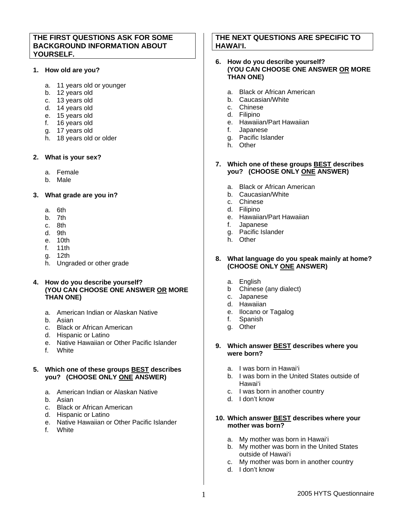# **THE FIRST QUESTIONS ASK FOR SOME BACKGROUND INFORMATION ABOUT YOURSELF.**

## **1. How old are you?**

- a. 11 years old or younger
- b. 12 years old
- c. 13 years old
- d. 14 years old
- e. 15 years old
- f. 16 years old
- g. 17 years old
- h. 18 years old or older

## **2. What is your sex?**

- a. Female
- b. Male

# **3. What grade are you in?**

- a. 6th
- b. 7th
- c. 8th
- d. 9th
- e. 10th
- f. 11th
- g. 12th
- h. Ungraded or other grade

# **4. How do you describe yourself? (YOU CAN CHOOSE ONE ANSWER OR MORE THAN ONE)**

- a. American Indian or Alaskan Native
- b. Asian
- c. Black or African American
- d. Hispanic or Latino
- e. Native Hawaiian or Other Pacific Islander
- f. White

# **5. Which one of these groups BEST describes you? (CHOOSE ONLY ONE ANSWER)**

- a. American Indian or Alaskan Native
- b. Asian
- c. Black or African American
- d. Hispanic or Latino
- e. Native Hawaiian or Other Pacific Islander

f. White

# **THE NEXT QUESTIONS ARE SPECIFIC TO HAWAI'I.**

## **6. How do you describe yourself? (YOU CAN CHOOSE ONE ANSWER OR MORE THAN ONE)**

- a. Black or African American
- b. Caucasian/White
- c. Chinese
- d. Filipino
- e. Hawaiian/Part Hawaiian
- f. Japanese
- g. Pacific Islander
- h. Other

## **7. Which one of these groups BEST describes you? (CHOOSE ONLY ONE ANSWER)**

- a. Black or African American
- b. Caucasian/White
- c. Chinese
- d. Filipino
- e. Hawaiian/Part Hawaiian
- f. Japanese
- g. Pacific Islander
- h. Other

#### **8. What language do you speak mainly at home? (CHOOSE ONLY ONE ANSWER)**

- a. English
- b Chinese (any dialect)
- c. Japanese
- d. Hawaiian
- e. Ilocano or Tagalog
- f. Spanish
- g. Other

#### **9. Which answer BEST describes where you were born?**

- a. I was born in Hawai'i
- b. I was born in the United States outside of Hawai'i
- c. I was born in another country
- d. I don't know

#### **10. Which answer BEST describes where your mother was born?**

- a. My mother was born in Hawai'i
- b. My mother was born in the United States outside of Hawai'i
- c. My mother was born in another country
- d. I don't know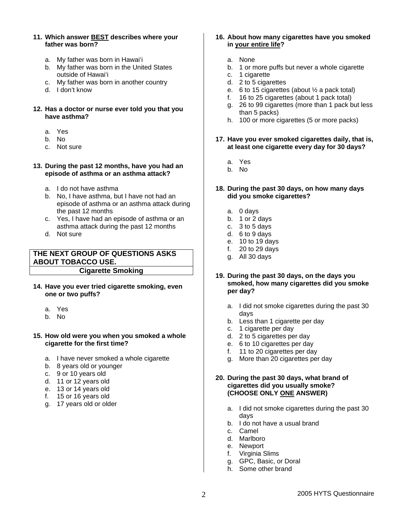- **11. Which answer BEST describes where your father was born?** 
	- a. My father was born in Hawai'i
	- b. My father was born in the United States outside of Hawai'i
	- c. My father was born in another country
	- d. I don't know

#### **12. Has a doctor or nurse ever told you that you have asthma?**

- a. Yes
- b. No
- c. Not sure

#### **13. During the past 12 months, have you had an episode of asthma or an asthma attack?**

- a. I do not have asthma
- b. No, I have asthma, but I have not had an episode of asthma or an asthma attack during the past 12 months
- c. Yes, I have had an episode of asthma or an asthma attack during the past 12 months
- d. Not sure

# **THE NEXT GROUP OF QUESTIONS ASKS ABOUT TOBACCO USE. Cigarette Smoking**

**14. Have you ever tried cigarette smoking, even one or two puffs?**

- a. Yes
- b. No

#### **15. How old were you when you smoked a whole cigarette for the first time?**

- a. I have never smoked a whole cigarette
- b. 8 years old or younger
- c. 9 or 10 years old
- d. 11 or 12 years old
- e. 13 or 14 years old
- f. 15 or 16 years old
- g. 17 years old or older

## **16. About how many cigarettes have you smoked in your entire life?**

- a. None
- b. 1 or more puffs but never a whole cigarette
- c. 1 cigarette
- d. 2 to 5 cigarettes
- e. 6 to 15 cigarettes (about ½ a pack total)
- f. 16 to 25 cigarettes (about 1 pack total)
- g. 26 to 99 cigarettes (more than 1 pack but less than 5 packs)
- h. 100 or more cigarettes (5 or more packs)
- **17. Have you ever smoked cigarettes daily, that is, at least one cigarette every day for 30 days?** 
	- a. Yes
	- b. No
- **18. During the past 30 days, on how many days did you smoke cigarettes?** 
	- a. 0 days
	- b. 1 or 2 days
	- c. 3 to 5 days
	- d. 6 to 9 days
	- e. 10 to 19 days
	- f. 20 to 29 days
	- g. All 30 days
- **19. During the past 30 days, on the days you smoked, how many cigarettes did you smoke per day?** 
	- a. I did not smoke cigarettes during the past 30 days
	- b. Less than 1 cigarette per day
	- c. 1 cigarette per day
	- d. 2 to 5 cigarettes per day
	- e. 6 to 10 cigarettes per day
	- f. 11 to 20 cigarettes per day
	- g. More than 20 cigarettes per day

#### **20. During the past 30 days, what brand of cigarettes did you usually smoke? (CHOOSE ONLY ONE ANSWER)**

- a. I did not smoke cigarettes during the past 30 days
- b. I do not have a usual brand
- c. Camel
- d. Marlboro
- e. Newport
- f. Virginia Slims
- g. GPC, Basic, or Doral
- h. Some other brand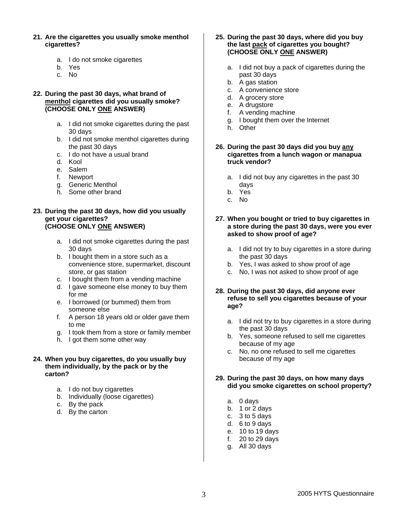- **21. Are the cigarettes you usually smoke menthol cigarettes?** 
	- a. I do not smoke cigarettes
	- b. Yes
	- c. No
- **22. During the past 30 days, what brand of menthol cigarettes did you usually smoke? (CHOOSE ONLY ONE ANSWER)** 
	- a. I did not smoke cigarettes during the past 30 days
	- b. I did not smoke menthol cigarettes during the past 30 days
	- c. I do not have a usual brand
	- d. Kool
	- e. Salem
	- f. Newport
	- g. Generic Menthol
	- h. Some other brand

## **23. During the past 30 days, how did you usually get your cigarettes? (CHOOSE ONLY ONE ANSWER)**

- a. I did not smoke cigarettes during the past 30 days
- b. I bought them in a store such as a convenience store, supermarket, discount store, or gas station
- c. I bought them from a vending machine
- d. I gave someone else money to buy them for me
- e. I borrowed (or bummed) them from someone else
- f. A person 18 years old or older gave them to me
- g. I took them from a store or family member
- h. I got them some other way
- **24. When you buy cigarettes, do you usually buy them individually, by the pack or by the carton?** 
	- a. I do not buy cigarettes
	- b. Individually (loose cigarettes)
	- c. By the pack
	- d. By the carton

#### **25. During the past 30 days, where did you buy the last pack of cigarettes you bought? (CHOOSE ONLY ONE ANSWER)**

- a. I did not buy a pack of cigarettes during the past 30 days
- b. A gas station
- c. A convenience store
- d. A grocery store
- e. A drugstore
- f. A vending machine
- g. I bought them over the Internet
- h. Other
- **26. During the past 30 days did you buy any cigarettes from a lunch wagon or manapua truck vendor?** 
	- a. I did not buy any cigarettes in the past 30 days
	- b. Yes
	- c. No

# **27. When you bought or tried to buy cigarettes in a store during the past 30 days, were you ever asked to show proof of age?**

- a. I did not try to buy cigarettes in a store during the past 30 days
- b. Yes, I was asked to show proof of age
- c. No, I was not asked to show proof of age

# **28. During the past 30 days, did anyone ever refuse to sell you cigarettes because of your age?**

- a. I did not try to buy cigarettes in a store during the past 30 days
- b. Yes, someone refused to sell me cigarettes because of my age
- c. No, no one refused to sell me cigarettes because of my age

## **29. During the past 30 days, on how many days did you smoke cigarettes on school property?**

- a. 0 days
- b. 1 or 2 days
- c. 3 to 5 days
- d. 6 to 9 days
- e. 10 to 19 days
- f. 20 to 29 days
- g. All 30 days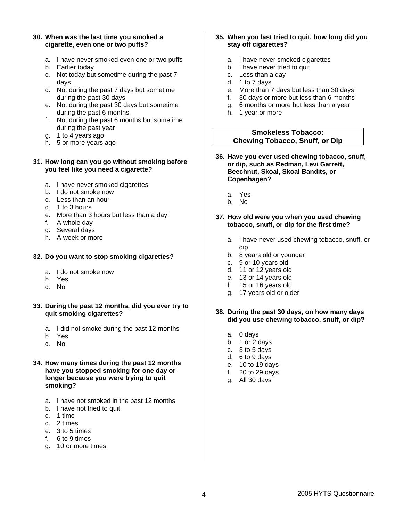#### **30. When was the last time you smoked a cigarette, even one or two puffs?**

- a. I have never smoked even one or two puffs
- b. Earlier today
- c. Not today but sometime during the past 7 days
- d. Not during the past 7 days but sometime during the past 30 days
- e. Not during the past 30 days but sometime during the past 6 months
- f. Not during the past 6 months but sometime during the past year
- g. 1 to 4 years ago
- h. 5 or more years ago

#### **31. How long can you go without smoking before you feel like you need a cigarette?**

- a. I have never smoked cigarettes
- b. I do not smoke now
- c. Less than an hour
- d. 1 to 3 hours
- e. More than 3 hours but less than a day
- f. A whole day
- g. Several days
- h. A week or more

## **32. Do you want to stop smoking cigarettes?**

- a. I do not smoke now
- b. Yes
- c. No
- **33. During the past 12 months, did you ever try to quit smoking cigarettes?** 
	- a. I did not smoke during the past 12 months
	- b. Yes
	- c. No
- **34. How many times during the past 12 months have you stopped smoking for one day or longer because you were trying to quit smoking?** 
	- a. I have not smoked in the past 12 months
	- b. I have not tried to quit
	- c. 1 time
	- d. 2 times
	- e. 3 to 5 times
	- f. 6 to 9 times
	- g. 10 or more times

## **35. When you last tried to quit, how long did you stay off cigarettes?**

- a. I have never smoked cigarettes
- b. I have never tried to quit
- c. Less than a day
- d. 1 to 7 days
- e. More than 7 days but less than 30 days
- f. 30 days or more but less than 6 months
- g. 6 months or more but less than a year
- h. 1 year or more

## **Smokeless Tobacco: Chewing Tobacco, Snuff, or Dip**

- **36. Have you ever used chewing tobacco, snuff, or dip, such as Redman, Levi Garrett, Beechnut, Skoal, Skoal Bandits, or Copenhagen?** 
	- a. Yes
	- b. No

#### **37. How old were you when you used chewing tobacco, snuff, or dip for the first time?**

- a. I have never used chewing tobacco, snuff, or dip
- b. 8 years old or younger
- c. 9 or 10 years old
- d. 11 or 12 years old
- e. 13 or 14 years old
- f. 15 or 16 years old
- g. 17 years old or older

#### **38. During the past 30 days, on how many days did you use chewing tobacco, snuff, or dip?**

- a. 0 days
- b. 1 or 2 days
- c. 3 to 5 days
- d. 6 to 9 days
- e. 10 to 19 days
- f. 20 to 29 days
- g. All 30 days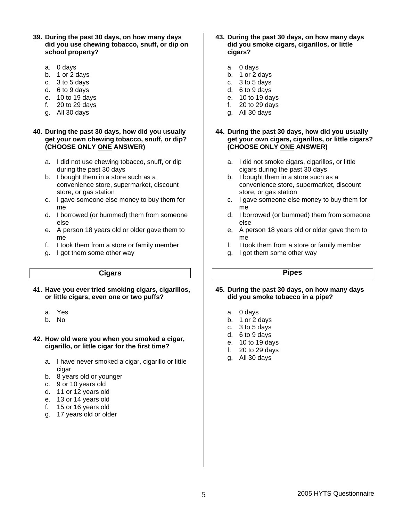- **39. During the past 30 days, on how many days did you use chewing tobacco, snuff, or dip on school property?** 
	- a. 0 days
	- b. 1 or 2 days
	- c. 3 to 5 days
	- d. 6 to 9 days
	- e. 10 to 19 days
	- f. 20 to 29 days
	- g. All 30 days

## **40. During the past 30 days, how did you usually get your own chewing tobacco, snuff, or dip? (CHOOSE ONLY ONE ANSWER)**

- a. I did not use chewing tobacco, snuff, or dip during the past 30 days
- b. I bought them in a store such as a convenience store, supermarket, discount store, or gas station
- c. I gave someone else money to buy them for me
- d. I borrowed (or bummed) them from someone else
- e. A person 18 years old or older gave them to me
- f. I took them from a store or family member
- g. I got them some other way

#### **Cigars**

**41. Have you ever tried smoking cigars, cigarillos, or little cigars, even one or two puffs?** 

- a. Yes
- b. No

## **42. How old were you when you smoked a cigar, cigarillo, or little cigar for the first time?**

- a. I have never smoked a cigar, cigarillo or little cigar
- b. 8 years old or younger
- c. 9 or 10 years old
- d. 11 or 12 years old
- e. 13 or 14 years old
- f. 15 or 16 years old
- g. 17 years old or older
- **43. During the past 30 days, on how many days did you smoke cigars, cigarillos, or little cigars?** 
	- a 0 days
	- b. 1 or 2 days
	- c. 3 to 5 days
	- d. 6 to 9 days
	- e. 10 to 19 days
	- f. 20 to 29 days
	- g. All 30 days

## **44. During the past 30 days, how did you usually get your own cigars, cigarillos, or little cigars? (CHOOSE ONLY ONE ANSWER)**

- a. I did not smoke cigars, cigarillos, or little cigars during the past 30 days
- b. I bought them in a store such as a convenience store, supermarket, discount store, or gas station
- c. I gave someone else money to buy them for me
- d. I borrowed (or bummed) them from someone else
- e. A person 18 years old or older gave them to me
- f. I took them from a store or family member
- g. I got them some other way

# **Pipes**

- **45. During the past 30 days, on how many days did you smoke tobacco in a pipe?** 
	- a. 0 days
	- b. 1 or 2 days
	- c. 3 to 5 days
	- d. 6 to 9 days
	- e. 10 to 19 days
	- f. 20 to 29 days
	- g. All 30 days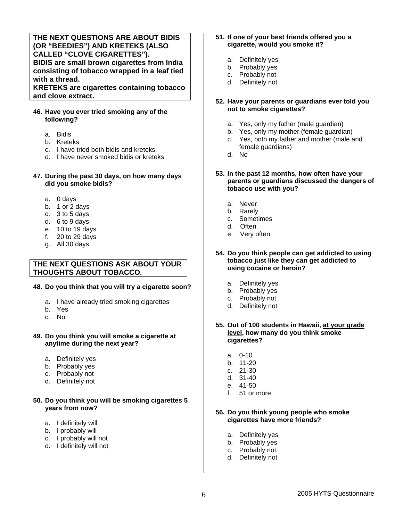# **THE NEXT QUESTIONS ARE ABOUT BIDIS (OR "BEEDIES") AND KRETEKS (ALSO CALLED "CLOVE CIGARETTES"). BIDIS are small brown cigarettes from India consisting of tobacco wrapped in a leaf tied with a thread.**

**KRETEKS are cigarettes containing tobacco and clove extract.** 

## **46. Have you ever tried smoking any of the following?**

- a. Bidis
- b. Kreteks
- c. I have tried both bidis and kreteks
- d. I have never smoked bidis or kreteks

#### **47. During the past 30 days, on how many days did you smoke bidis?**

- a. 0 days
- b. 1 or 2 days
- c. 3 to 5 days
- d. 6 to 9 days
- e. 10 to 19 days
- f. 20 to 29 days
- g. All 30 days

# **THE NEXT QUESTIONS ASK ABOUT YOUR THOUGHTS ABOUT TOBACCO.**

#### **48. Do you think that you will try a cigarette soon?**

- a. I have already tried smoking cigarettes
- b. Yes
- c. No

#### **49. Do you think you will smoke a cigarette at anytime during the next year?**

- a. Definitely yes
- b. Probably yes
- c. Probably not
- d. Definitely not

## **50. Do you think you will be smoking cigarettes 5 years from now?**

- a. I definitely will
- b. I probably will
- c. I probably will not
- d. I definitely will not

## **51. If one of your best friends offered you a cigarette, would you smoke it?**

- a. Definitely yes
- b. Probably yes
- c. Probably not
- d. Definitely not

## **52. Have your parents or guardians ever told you not to smoke cigarettes?**

- a. Yes, only my father (male guardian)
- b. Yes, only my mother (female guardian)
- c. Yes, both my father and mother (male and female guardians)
- d. No
- **53. In the past 12 months, how often have your parents or guardians discussed the dangers of tobacco use with you?** 
	- a. Never
	- b. Rarely
	- c. Sometimes
	- d. Often
	- e. Very often
- **54. Do you think people can get addicted to using tobacco just like they can get addicted to using cocaine or heroin?**
	- a. Definitely yes
	- b. Probably yes
	- c. Probably not
	- d. Definitely not

#### **55. Out of 100 students in Hawaii, at your grade level, how many do you think smoke cigarettes?**

- a. 0-10
- b. 11-20
- c. 21-30
- d. 31-40
- e. 41-50
- f. 51 or more

## **56. Do you think young people who smoke cigarettes have more friends?**

- a. Definitely yes
- b. Probably yes
- c. Probably not
- d. Definitely not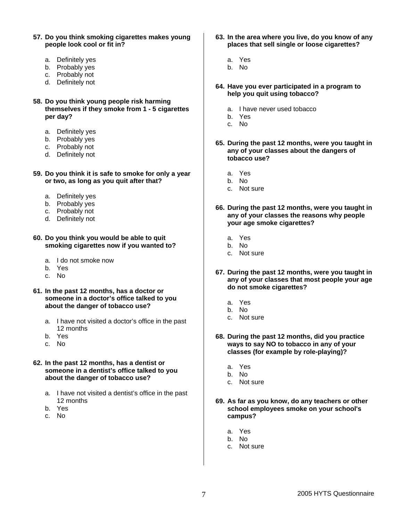- **57. Do you think smoking cigarettes makes young people look cool or fit in?** 
	- a. Definitely yes
	- b. Probably yes
	- c. Probably not
	- d. Definitely not
- **58. Do you think young people risk harming themselves if they smoke from 1 - 5 cigarettes per day?**
	- a. Definitely yes
	- b. Probably yes
	- c. Probably not
	- d. Definitely not
- **59. Do you think it is safe to smoke for only a year or two, as long as you quit after that?** 
	- a. Definitely yes
	- b. Probably yes
	- c. Probably not
	- d. Definitely not
- **60. Do you think you would be able to quit smoking cigarettes now if you wanted to?** 
	- a. I do not smoke now
	- b. Yes
	- c. No
- **61. In the past 12 months, has a doctor or someone in a doctor's office talked to you about the danger of tobacco use?** 
	- a. I have not visited a doctor's office in the past 12 months
	- b. Yes
	- c. No
- **62. In the past 12 months, has a dentist or someone in a dentist's office talked to you about the danger of tobacco use?** 
	- a. I have not visited a dentist's office in the past 12 months
	- b. Yes
	- c. No
- **63. In the area where you live, do you know of any places that sell single or loose cigarettes?** 
	- a. Yes
	- b. No
- **64. Have you ever participated in a program to help you quit using tobacco?** 
	- a. I have never used tobacco
	- b. Yes
	- c. No
- **65. During the past 12 months, were you taught in any of your classes about the dangers of tobacco use?** 
	- a. Yes
	- b. No
	- c. Not sure
- **66. During the past 12 months, were you taught in any of your classes the reasons why people your age smoke cigarettes?**
	- a. Yes
	- b. No
	- c. Not sure
- **67. During the past 12 months, were you taught in any of your classes that most people your age do not smoke cigarettes?** 
	- a. Yes
	- b. No
	- c. Not sure
- **68. During the past 12 months, did you practice ways to say NO to tobacco in any of your classes (for example by role-playing)?** 
	- a. Yes
	- b. No
	- c. Not sure
- **69. As far as you know, do any teachers or other school employees smoke on your school's campus?** 
	- a. Yes
	- b. No
	- c. Not sure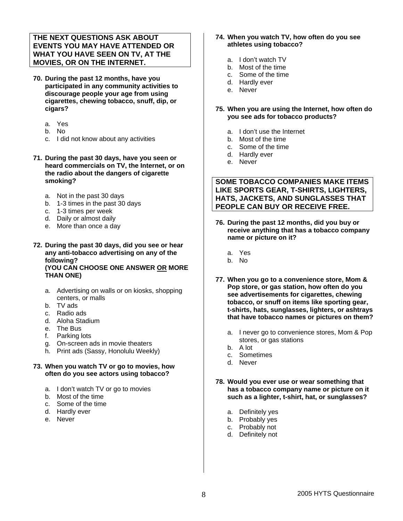# **THE NEXT QUESTIONS ASK ABOUT EVENTS YOU MAY HAVE ATTENDED OR WHAT YOU HAVE SEEN ON TV, AT THE MOVIES, OR ON THE INTERNET.**

- **70. During the past 12 months, have you participated in any community activities to discourage people your age from using cigarettes, chewing tobacco, snuff, dip, or cigars?** 
	- a. Yes
	- b. No
	- c. I did not know about any activities
- **71. During the past 30 days, have you seen or heard commercials on TV, the Internet, or on the radio about the dangers of cigarette smoking?** 
	- a. Not in the past 30 days
	- b. 1-3 times in the past 30 days
	- c. 1-3 times per week
	- d. Daily or almost daily
	- e. More than once a day
- **72. During the past 30 days, did you see or hear any anti-tobacco advertising on any of the following? (YOU CAN CHOOSE ONE ANSWER OR MORE THAN ONE)** 
	- a. Advertising on walls or on kiosks, shopping centers, or malls
	- b. TV ads
	- c. Radio ads
	- d. Aloha Stadium
	- e. The Bus
	- f. Parking lots
	- g. On-screen ads in movie theaters
	- h. Print ads (Sassy, Honolulu Weekly)

#### **73. When you watch TV or go to movies, how often do you see actors using tobacco?**

- a. I don't watch TV or go to movies
- b. Most of the time
- c. Some of the time
- d. Hardly ever
- e. Never

#### **74. When you watch TV, how often do you see athletes using tobacco?**

- a. I don't watch TV
- b. Most of the time
- c. Some of the time
- d. Hardly ever
- e. Never
- **75. When you are using the Internet, how often do you see ads for tobacco products?**
	- a. I don't use the Internet
	- b. Most of the time
	- c. Some of the time
	- d. Hardly ever
	- e. Never

**SOME TOBACCO COMPANIES MAKE ITEMS LIKE SPORTS GEAR, T-SHIRTS, LIGHTERS, HATS, JACKETS, AND SUNGLASSES THAT PEOPLE CAN BUY OR RECEIVE FREE.**

- **76. During the past 12 months, did you buy or receive anything that has a tobacco company name or picture on it?** 
	- a. Yes
	- b. No
- **77. When you go to a convenience store, Mom & Pop store, or gas station, how often do you see advertisements for cigarettes, chewing tobacco, or snuff on items like sporting gear, t-shirts, hats, sunglasses, lighters, or ashtrays that have tobacco names or pictures on them?** 
	- a. I never go to convenience stores, Mom & Pop stores, or gas stations
	- b. A lot
	- c. Sometimes
	- d. Never
- **78. Would you ever use or wear something that has a tobacco company name or picture on it such as a lighter, t-shirt, hat, or sunglasses?** 
	- a. Definitely yes
	- b. Probably yes
	- c. Probably not
	- d. Definitely not